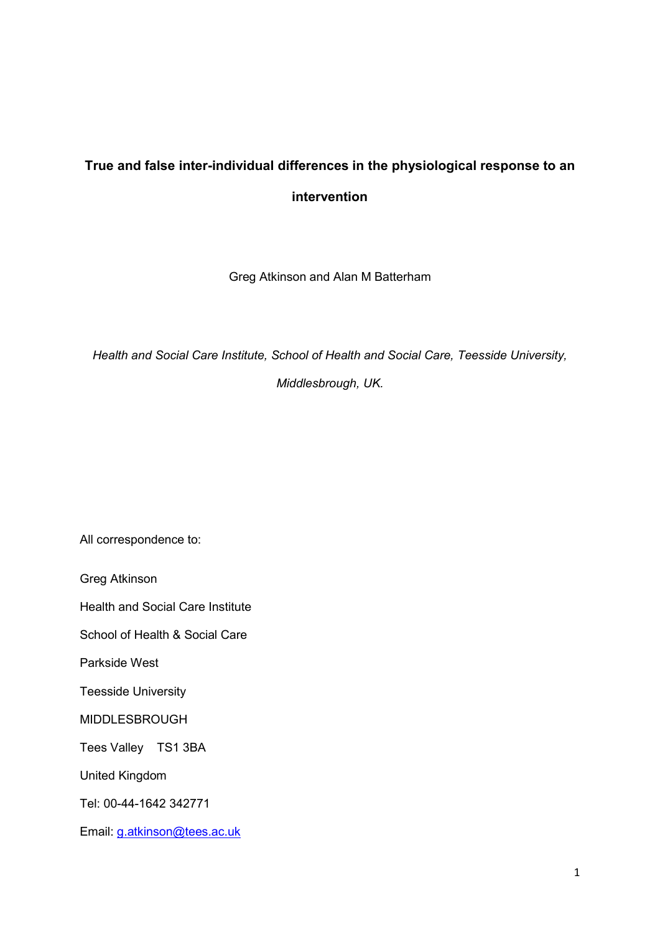# **True and false inter-individual differences in the physiological response to an intervention**

Greg Atkinson and Alan M Batterham

*Health and Social Care Institute, School of Health and Social Care, Teesside University,* 

*Middlesbrough, UK.* 

All correspondence to:

Greg Atkinson

Health and Social Care Institute

School of Health & Social Care

Parkside West

Teesside University

MIDDLESBROUGH

Tees Valley TS1 3BA

United Kingdom

Tel: 00-44-1642 342771

Email: [g.atkinson@tees.ac.uk](mailto:g.atkinson@tees.ac.uk)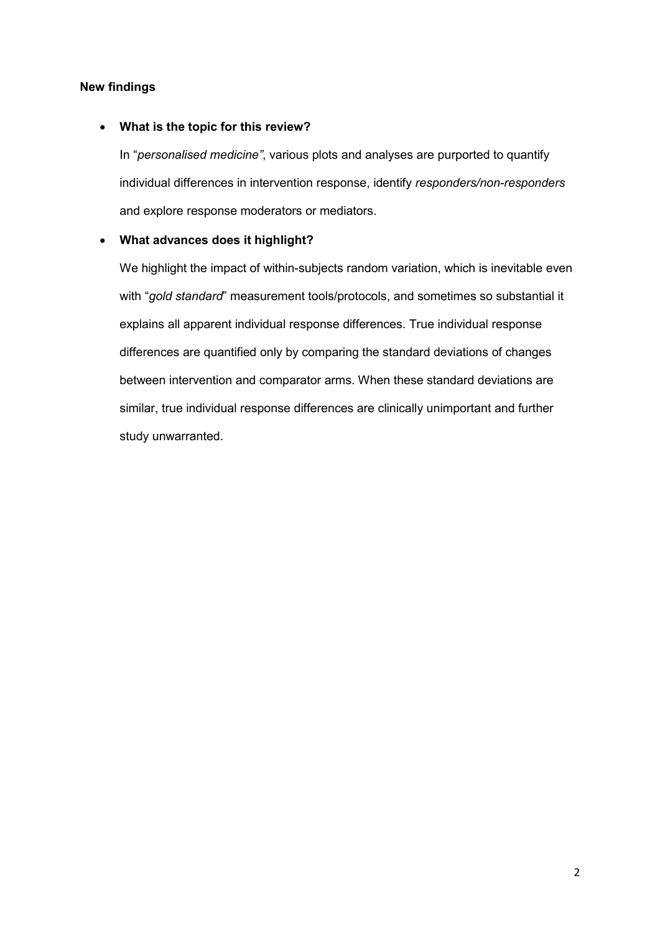## **New findings**

## **What is the topic for this review?**

In "*personalised medicine"*, various plots and analyses are purported to quantify individual differences in intervention response, identify *responders/non-responders* and explore response moderators or mediators.

## **What advances does it highlight?**

We highlight the impact of within-subjects random variation, which is inevitable even with "*gold standard*" measurement tools/protocols, and sometimes so substantial it explains all apparent individual response differences. True individual response differences are quantified only by comparing the standard deviations of changes between intervention and comparator arms. When these standard deviations are similar, true individual response differences are clinically unimportant and further study unwarranted.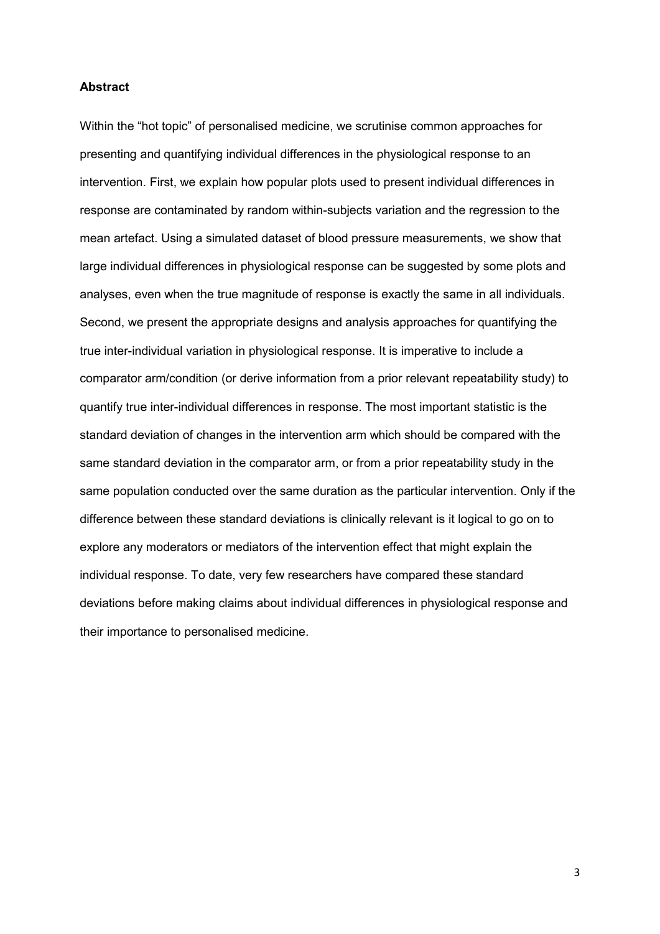#### **Abstract**

Within the "hot topic" of personalised medicine, we scrutinise common approaches for presenting and quantifying individual differences in the physiological response to an intervention. First, we explain how popular plots used to present individual differences in response are contaminated by random within-subjects variation and the regression to the mean artefact. Using a simulated dataset of blood pressure measurements, we show that large individual differences in physiological response can be suggested by some plots and analyses, even when the true magnitude of response is exactly the same in all individuals. Second, we present the appropriate designs and analysis approaches for quantifying the true inter-individual variation in physiological response. It is imperative to include a comparator arm/condition (or derive information from a prior relevant repeatability study) to quantify true inter-individual differences in response. The most important statistic is the standard deviation of changes in the intervention arm which should be compared with the same standard deviation in the comparator arm, or from a prior repeatability study in the same population conducted over the same duration as the particular intervention. Only if the difference between these standard deviations is clinically relevant is it logical to go on to explore any moderators or mediators of the intervention effect that might explain the individual response. To date, very few researchers have compared these standard deviations before making claims about individual differences in physiological response and their importance to personalised medicine.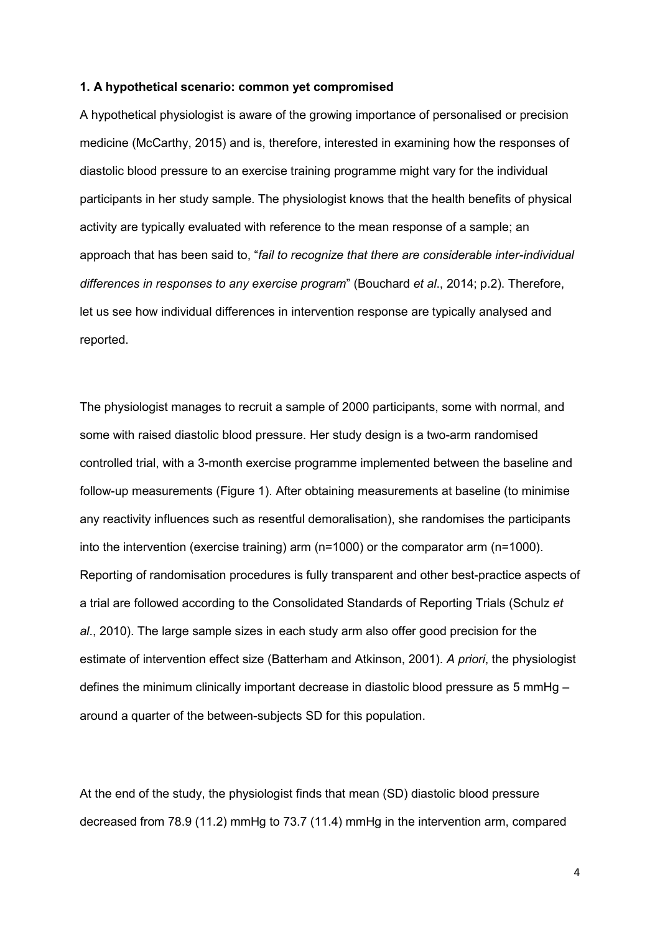#### **1. A hypothetical scenario: common yet compromised**

A hypothetical physiologist is aware of the growing importance of personalised or precision medicine (McCarthy, 2015) and is, therefore, interested in examining how the responses of diastolic blood pressure to an exercise training programme might vary for the individual participants in her study sample. The physiologist knows that the health benefits of physical activity are typically evaluated with reference to the mean response of a sample; an approach that has been said to, "*fail to recognize that there are considerable inter-individual differences in responses to any exercise program*" (Bouchard *et al*., 2014; p.2). Therefore, let us see how individual differences in intervention response are typically analysed and reported.

The physiologist manages to recruit a sample of 2000 participants, some with normal, and some with raised diastolic blood pressure. Her study design is a two-arm randomised controlled trial, with a 3-month exercise programme implemented between the baseline and follow-up measurements (Figure 1). After obtaining measurements at baseline (to minimise any reactivity influences such as resentful demoralisation), she randomises the participants into the intervention (exercise training) arm (n=1000) or the comparator arm (n=1000). Reporting of randomisation procedures is fully transparent and other best-practice aspects of a trial are followed according to the Consolidated Standards of Reporting Trials (Schulz *et al*., 2010). The large sample sizes in each study arm also offer good precision for the estimate of intervention effect size (Batterham and Atkinson, 2001). *A priori*, the physiologist defines the minimum clinically important decrease in diastolic blood pressure as 5 mmHg – around a quarter of the between-subjects SD for this population.

At the end of the study, the physiologist finds that mean (SD) diastolic blood pressure decreased from 78.9 (11.2) mmHg to 73.7 (11.4) mmHg in the intervention arm, compared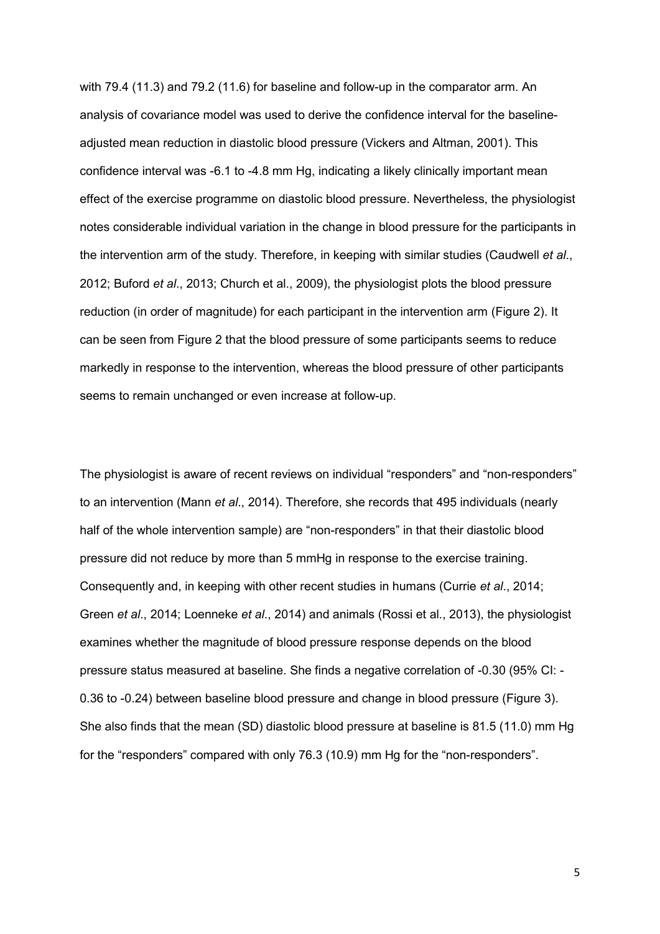with 79.4 (11.3) and 79.2 (11.6) for baseline and follow-up in the comparator arm. An analysis of covariance model was used to derive the confidence interval for the baselineadjusted mean reduction in diastolic blood pressure (Vickers and Altman, 2001). This confidence interval was -6.1 to -4.8 mm Hg, indicating a likely clinically important mean effect of the exercise programme on diastolic blood pressure. Nevertheless, the physiologist notes considerable individual variation in the change in blood pressure for the participants in the intervention arm of the study. Therefore, in keeping with similar studies (Caudwell *et al*., 2012; Buford *et al*., 2013; Church et al., 2009), the physiologist plots the blood pressure reduction (in order of magnitude) for each participant in the intervention arm (Figure 2). It can be seen from Figure 2 that the blood pressure of some participants seems to reduce markedly in response to the intervention, whereas the blood pressure of other participants seems to remain unchanged or even increase at follow-up.

The physiologist is aware of recent reviews on individual "responders" and "non-responders" to an intervention (Mann *et al*., 2014). Therefore, she records that 495 individuals (nearly half of the whole intervention sample) are "non-responders" in that their diastolic blood pressure did not reduce by more than 5 mmHg in response to the exercise training. Consequently and, in keeping with other recent studies in humans (Currie *et al*., 2014; Green *et al*., 2014; Loenneke *et al*., 2014) and animals (Rossi et al., 2013), the physiologist examines whether the magnitude of blood pressure response depends on the blood pressure status measured at baseline. She finds a negative correlation of -0.30 (95% CI: - 0.36 to -0.24) between baseline blood pressure and change in blood pressure (Figure 3). She also finds that the mean (SD) diastolic blood pressure at baseline is 81.5 (11.0) mm Hg for the "responders" compared with only 76.3 (10.9) mm Hg for the "non-responders".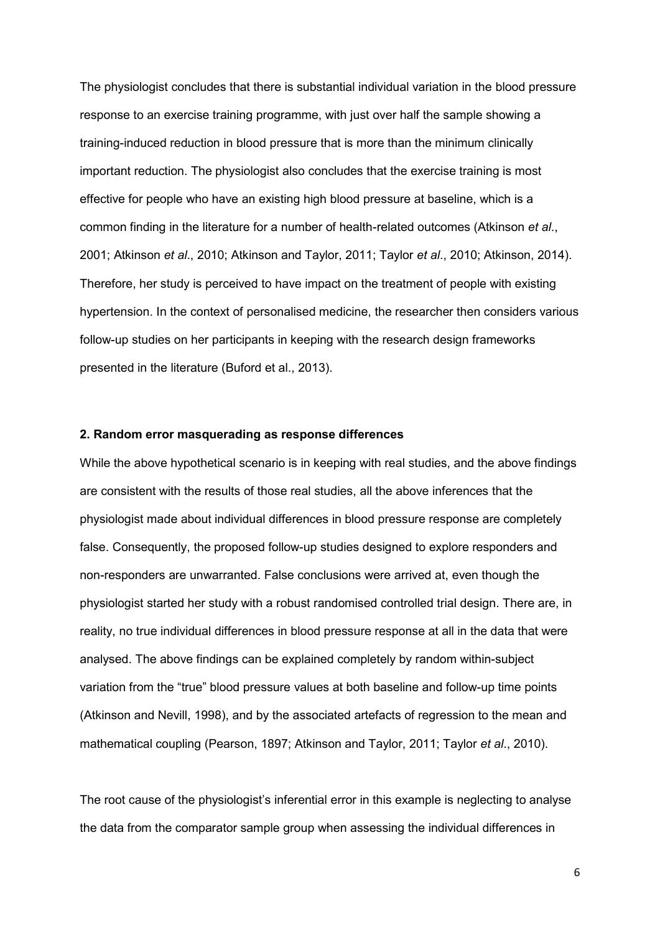The physiologist concludes that there is substantial individual variation in the blood pressure response to an exercise training programme, with just over half the sample showing a training-induced reduction in blood pressure that is more than the minimum clinically important reduction. The physiologist also concludes that the exercise training is most effective for people who have an existing high blood pressure at baseline, which is a common finding in the literature for a number of health-related outcomes (Atkinson *et al*., 2001; Atkinson *et al*., 2010; Atkinson and Taylor, 2011; Taylor *et al*., 2010; Atkinson, 2014). Therefore, her study is perceived to have impact on the treatment of people with existing hypertension. In the context of personalised medicine, the researcher then considers various follow-up studies on her participants in keeping with the research design frameworks presented in the literature (Buford et al., 2013).

#### **2. Random error masquerading as response differences**

While the above hypothetical scenario is in keeping with real studies, and the above findings are consistent with the results of those real studies, all the above inferences that the physiologist made about individual differences in blood pressure response are completely false. Consequently, the proposed follow-up studies designed to explore responders and non-responders are unwarranted. False conclusions were arrived at, even though the physiologist started her study with a robust randomised controlled trial design. There are, in reality, no true individual differences in blood pressure response at all in the data that were analysed. The above findings can be explained completely by random within-subject variation from the "true" blood pressure values at both baseline and follow-up time points (Atkinson and Nevill, 1998), and by the associated artefacts of regression to the mean and mathematical coupling (Pearson, 1897; Atkinson and Taylor, 2011; Taylor *et al*., 2010).

The root cause of the physiologist's inferential error in this example is neglecting to analyse the data from the comparator sample group when assessing the individual differences in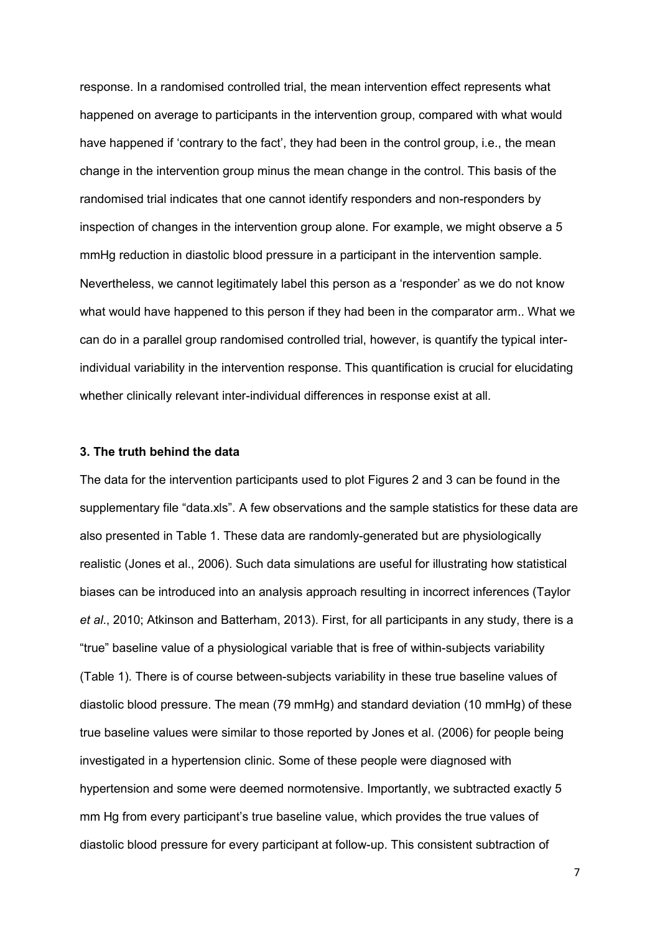response. In a randomised controlled trial, the mean intervention effect represents what happened on average to participants in the intervention group, compared with what would have happened if 'contrary to the fact', they had been in the control group, i.e., the mean change in the intervention group minus the mean change in the control. This basis of the randomised trial indicates that one cannot identify responders and non-responders by inspection of changes in the intervention group alone. For example, we might observe a 5 mmHg reduction in diastolic blood pressure in a participant in the intervention sample. Nevertheless, we cannot legitimately label this person as a 'responder' as we do not know what would have happened to this person if they had been in the comparator arm.. What we can do in a parallel group randomised controlled trial, however, is quantify the typical interindividual variability in the intervention response. This quantification is crucial for elucidating whether clinically relevant inter-individual differences in response exist at all.

#### **3. The truth behind the data**

The data for the intervention participants used to plot Figures 2 and 3 can be found in the supplementary file "data.xls". A few observations and the sample statistics for these data are also presented in Table 1. These data are randomly-generated but are physiologically realistic (Jones et al., 2006). Such data simulations are useful for illustrating how statistical biases can be introduced into an analysis approach resulting in incorrect inferences (Taylor *et al*., 2010; Atkinson and Batterham, 2013). First, for all participants in any study, there is a "true" baseline value of a physiological variable that is free of within-subjects variability (Table 1). There is of course between-subjects variability in these true baseline values of diastolic blood pressure. The mean (79 mmHg) and standard deviation (10 mmHg) of these true baseline values were similar to those reported by Jones et al. (2006) for people being investigated in a hypertension clinic. Some of these people were diagnosed with hypertension and some were deemed normotensive. Importantly, we subtracted exactly 5 mm Hg from every participant's true baseline value, which provides the true values of diastolic blood pressure for every participant at follow-up. This consistent subtraction of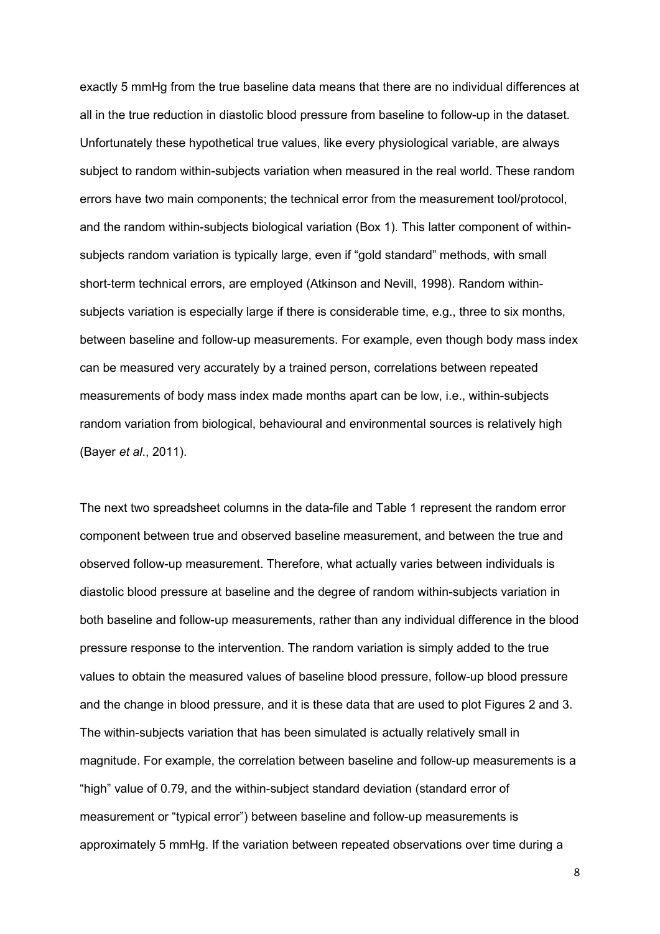exactly 5 mmHg from the true baseline data means that there are no individual differences at all in the true reduction in diastolic blood pressure from baseline to follow-up in the dataset. Unfortunately these hypothetical true values, like every physiological variable, are always subject to random within-subjects variation when measured in the real world. These random errors have two main components; the technical error from the measurement tool/protocol, and the random within-subjects biological variation (Box 1). This latter component of withinsubjects random variation is typically large, even if "gold standard" methods, with small short-term technical errors, are employed (Atkinson and Nevill, 1998). Random withinsubjects variation is especially large if there is considerable time, e.g., three to six months, between baseline and follow-up measurements. For example, even though body mass index can be measured very accurately by a trained person, correlations between repeated measurements of body mass index made months apart can be low, i.e., within-subjects random variation from biological, behavioural and environmental sources is relatively high (Bayer *et al*., 2011).

The next two spreadsheet columns in the data-file and Table 1 represent the random error component between true and observed baseline measurement, and between the true and observed follow-up measurement. Therefore, what actually varies between individuals is diastolic blood pressure at baseline and the degree of random within-subjects variation in both baseline and follow-up measurements, rather than any individual difference in the blood pressure response to the intervention. The random variation is simply added to the true values to obtain the measured values of baseline blood pressure, follow-up blood pressure and the change in blood pressure, and it is these data that are used to plot Figures 2 and 3. The within-subjects variation that has been simulated is actually relatively small in magnitude. For example, the correlation between baseline and follow-up measurements is a "high" value of 0.79, and the within-subject standard deviation (standard error of measurement or "typical error") between baseline and follow-up measurements is approximately 5 mmHg. If the variation between repeated observations over time during a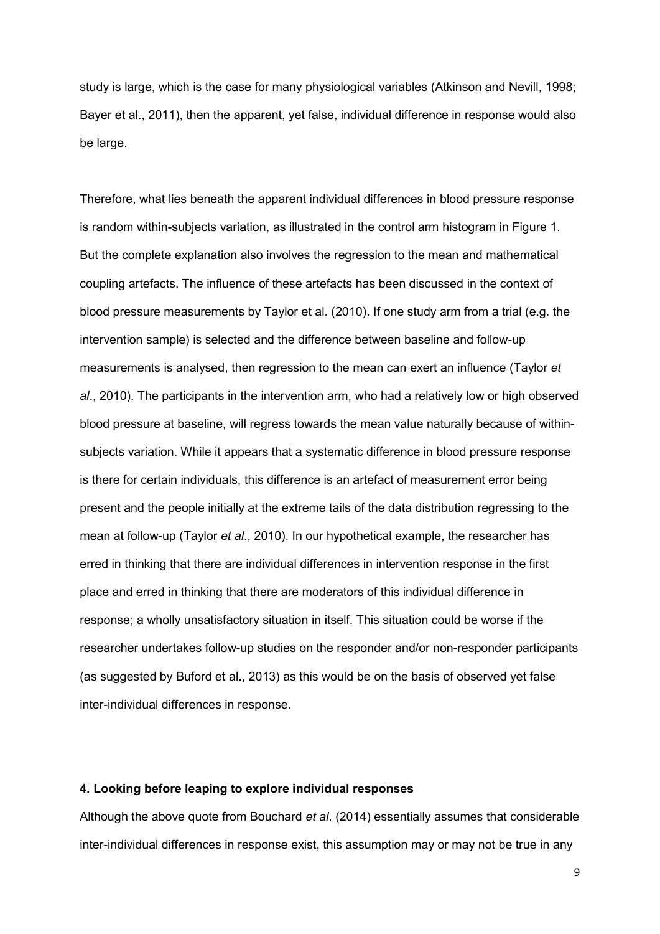study is large, which is the case for many physiological variables (Atkinson and Nevill, 1998; Bayer et al., 2011), then the apparent, yet false, individual difference in response would also be large.

Therefore, what lies beneath the apparent individual differences in blood pressure response is random within-subjects variation, as illustrated in the control arm histogram in Figure 1. But the complete explanation also involves the regression to the mean and mathematical coupling artefacts. The influence of these artefacts has been discussed in the context of blood pressure measurements by Taylor et al. (2010). If one study arm from a trial (e.g. the intervention sample) is selected and the difference between baseline and follow-up measurements is analysed, then regression to the mean can exert an influence (Taylor *et al*., 2010). The participants in the intervention arm, who had a relatively low or high observed blood pressure at baseline, will regress towards the mean value naturally because of withinsubjects variation. While it appears that a systematic difference in blood pressure response is there for certain individuals, this difference is an artefact of measurement error being present and the people initially at the extreme tails of the data distribution regressing to the mean at follow-up (Taylor *et al*., 2010). In our hypothetical example, the researcher has erred in thinking that there are individual differences in intervention response in the first place and erred in thinking that there are moderators of this individual difference in response; a wholly unsatisfactory situation in itself. This situation could be worse if the researcher undertakes follow-up studies on the responder and/or non-responder participants (as suggested by Buford et al., 2013) as this would be on the basis of observed yet false inter-individual differences in response.

## **4. Looking before leaping to explore individual responses**

Although the above quote from Bouchard *et al*. (2014) essentially assumes that considerable inter-individual differences in response exist, this assumption may or may not be true in any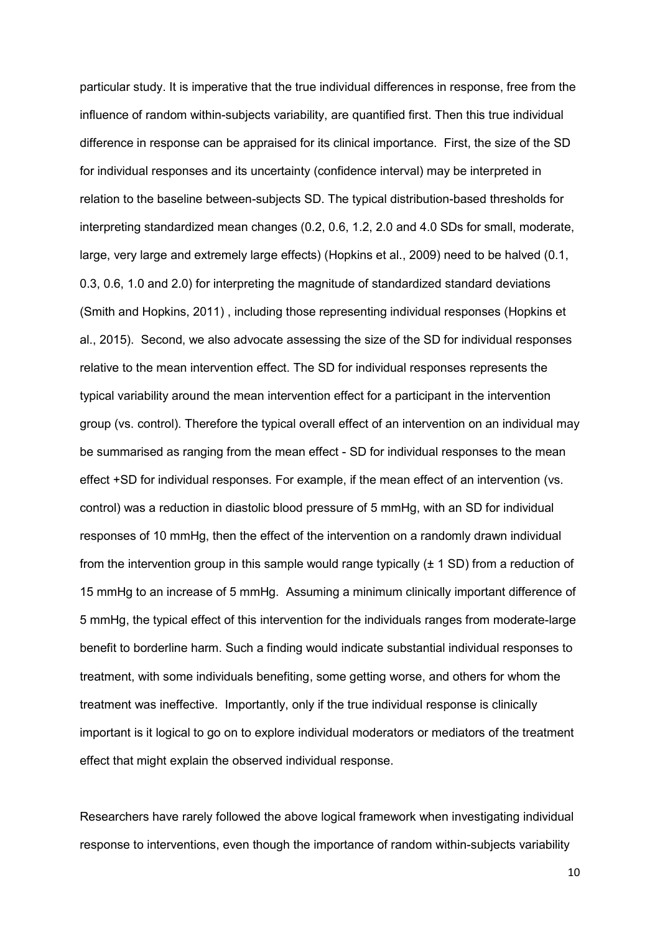particular study. It is imperative that the true individual differences in response, free from the influence of random within-subjects variability, are quantified first. Then this true individual difference in response can be appraised for its clinical importance. First, the size of the SD for individual responses and its uncertainty (confidence interval) may be interpreted in relation to the baseline between-subjects SD. The typical distribution-based thresholds for interpreting standardized mean changes (0.2, 0.6, 1.2, 2.0 and 4.0 SDs for small, moderate, large, very large and extremely large effects) (Hopkins et al., 2009) need to be halved (0.1, 0.3, 0.6, 1.0 and 2.0) for interpreting the magnitude of standardized standard deviations (Smith and Hopkins, 2011) , including those representing individual responses (Hopkins et al., 2015). Second, we also advocate assessing the size of the SD for individual responses relative to the mean intervention effect. The SD for individual responses represents the typical variability around the mean intervention effect for a participant in the intervention group (vs. control). Therefore the typical overall effect of an intervention on an individual may be summarised as ranging from the mean effect - SD for individual responses to the mean effect +SD for individual responses. For example, if the mean effect of an intervention (vs. control) was a reduction in diastolic blood pressure of 5 mmHg, with an SD for individual responses of 10 mmHg, then the effect of the intervention on a randomly drawn individual from the intervention group in this sample would range typically  $(\pm 1 \text{ SD})$  from a reduction of 15 mmHg to an increase of 5 mmHg. Assuming a minimum clinically important difference of 5 mmHg, the typical effect of this intervention for the individuals ranges from moderate-large benefit to borderline harm. Such a finding would indicate substantial individual responses to treatment, with some individuals benefiting, some getting worse, and others for whom the treatment was ineffective. Importantly, only if the true individual response is clinically important is it logical to go on to explore individual moderators or mediators of the treatment effect that might explain the observed individual response.

Researchers have rarely followed the above logical framework when investigating individual response to interventions, even though the importance of random within-subjects variability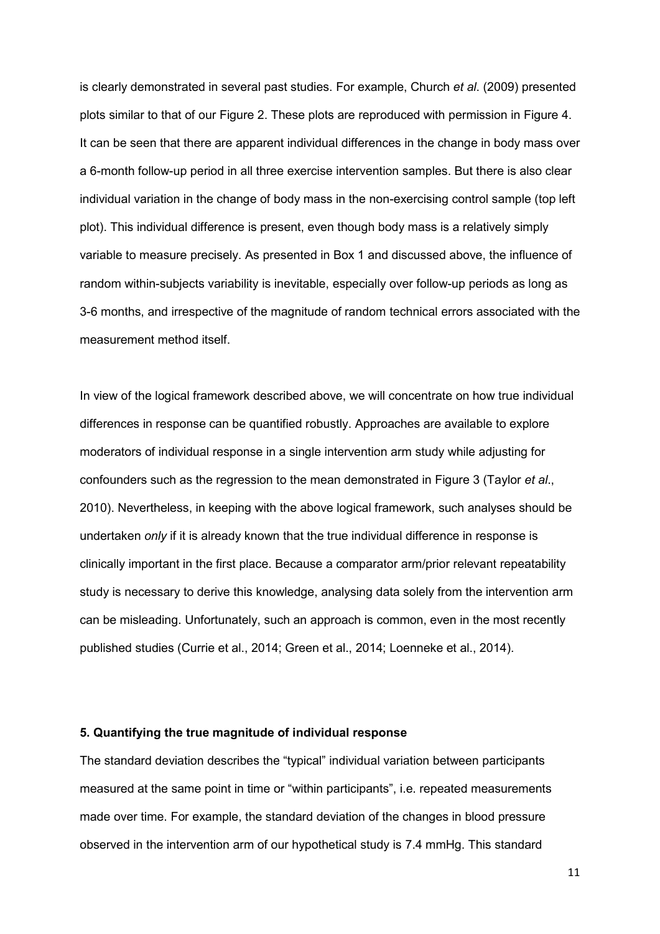is clearly demonstrated in several past studies. For example, Church *et al*. (2009) presented plots similar to that of our Figure 2. These plots are reproduced with permission in Figure 4. It can be seen that there are apparent individual differences in the change in body mass over a 6-month follow-up period in all three exercise intervention samples. But there is also clear individual variation in the change of body mass in the non-exercising control sample (top left plot). This individual difference is present, even though body mass is a relatively simply variable to measure precisely. As presented in Box 1 and discussed above, the influence of random within-subjects variability is inevitable, especially over follow-up periods as long as 3-6 months, and irrespective of the magnitude of random technical errors associated with the measurement method itself.

In view of the logical framework described above, we will concentrate on how true individual differences in response can be quantified robustly. Approaches are available to explore moderators of individual response in a single intervention arm study while adjusting for confounders such as the regression to the mean demonstrated in Figure 3 (Taylor *et al*., 2010). Nevertheless, in keeping with the above logical framework, such analyses should be undertaken *only* if it is already known that the true individual difference in response is clinically important in the first place. Because a comparator arm/prior relevant repeatability study is necessary to derive this knowledge, analysing data solely from the intervention arm can be misleading. Unfortunately, such an approach is common, even in the most recently published studies (Currie et al., 2014; Green et al., 2014; Loenneke et al., 2014).

#### **5. Quantifying the true magnitude of individual response**

The standard deviation describes the "typical" individual variation between participants measured at the same point in time or "within participants", i.e. repeated measurements made over time. For example, the standard deviation of the changes in blood pressure observed in the intervention arm of our hypothetical study is 7.4 mmHg. This standard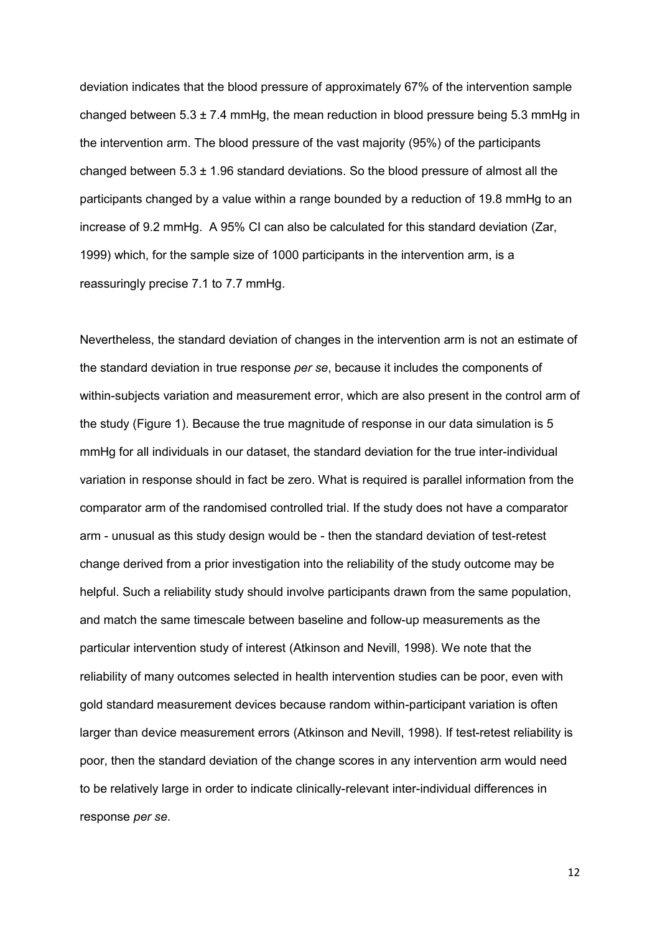deviation indicates that the blood pressure of approximately 67% of the intervention sample changed between  $5.3 \pm 7.4$  mmHg, the mean reduction in blood pressure being 5.3 mmHg in the intervention arm. The blood pressure of the vast majority (95%) of the participants changed between  $5.3 \pm 1.96$  standard deviations. So the blood pressure of almost all the participants changed by a value within a range bounded by a reduction of 19.8 mmHg to an increase of 9.2 mmHg. A 95% CI can also be calculated for this standard deviation (Zar, 1999) which, for the sample size of 1000 participants in the intervention arm, is a reassuringly precise 7.1 to 7.7 mmHg.

Nevertheless, the standard deviation of changes in the intervention arm is not an estimate of the standard deviation in true response *per se*, because it includes the components of within-subjects variation and measurement error, which are also present in the control arm of the study (Figure 1). Because the true magnitude of response in our data simulation is 5 mmHg for all individuals in our dataset, the standard deviation for the true inter-individual variation in response should in fact be zero. What is required is parallel information from the comparator arm of the randomised controlled trial. If the study does not have a comparator arm - unusual as this study design would be - then the standard deviation of test-retest change derived from a prior investigation into the reliability of the study outcome may be helpful. Such a reliability study should involve participants drawn from the same population, and match the same timescale between baseline and follow-up measurements as the particular intervention study of interest (Atkinson and Nevill, 1998). We note that the reliability of many outcomes selected in health intervention studies can be poor, even with gold standard measurement devices because random within-participant variation is often larger than device measurement errors (Atkinson and Nevill, 1998). If test-retest reliability is poor, then the standard deviation of the change scores in any intervention arm would need to be relatively large in order to indicate clinically-relevant inter-individual differences in response *per se*.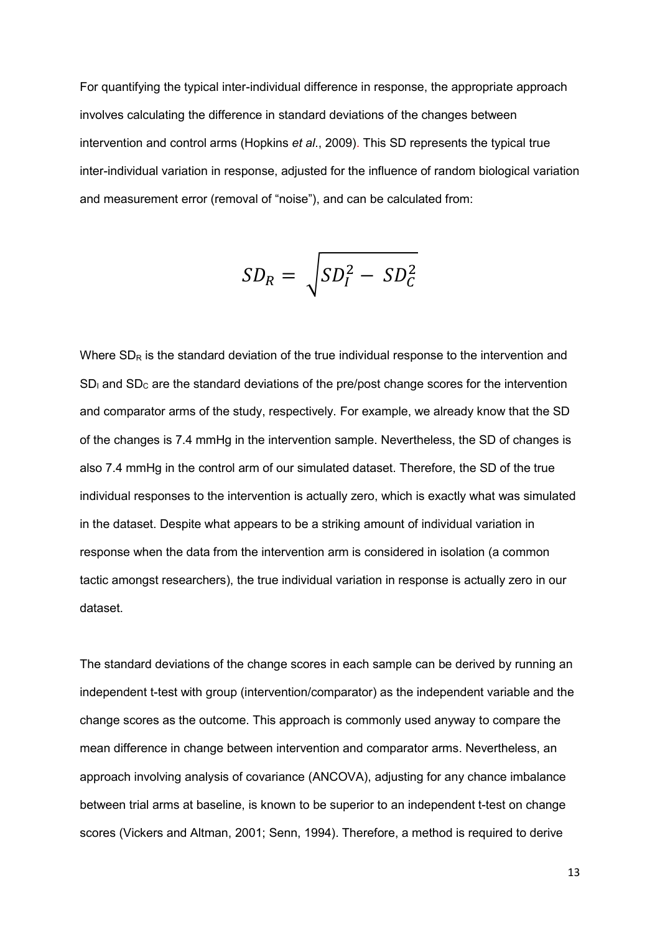For quantifying the typical inter-individual difference in response, the appropriate approach involves calculating the difference in standard deviations of the changes between intervention and control arms (Hopkins *et al*., 2009). This SD represents the typical true inter-individual variation in response, adjusted for the influence of random biological variation and measurement error (removal of "noise"), and can be calculated from:

$$
SD_R = \sqrt{SD_I^2 - SD_C^2}
$$

Where  $SD<sub>R</sub>$  is the standard deviation of the true individual response to the intervention and  $SD<sub>l</sub>$  and  $SD<sub>C</sub>$  are the standard deviations of the pre/post change scores for the intervention and comparator arms of the study, respectively. For example, we already know that the SD of the changes is 7.4 mmHg in the intervention sample. Nevertheless, the SD of changes is also 7.4 mmHg in the control arm of our simulated dataset. Therefore, the SD of the true individual responses to the intervention is actually zero, which is exactly what was simulated in the dataset. Despite what appears to be a striking amount of individual variation in response when the data from the intervention arm is considered in isolation (a common tactic amongst researchers), the true individual variation in response is actually zero in our dataset.

The standard deviations of the change scores in each sample can be derived by running an independent t-test with group (intervention/comparator) as the independent variable and the change scores as the outcome. This approach is commonly used anyway to compare the mean difference in change between intervention and comparator arms. Nevertheless, an approach involving analysis of covariance (ANCOVA), adjusting for any chance imbalance between trial arms at baseline, is known to be superior to an independent t-test on change scores (Vickers and Altman, 2001; Senn, 1994). Therefore, a method is required to derive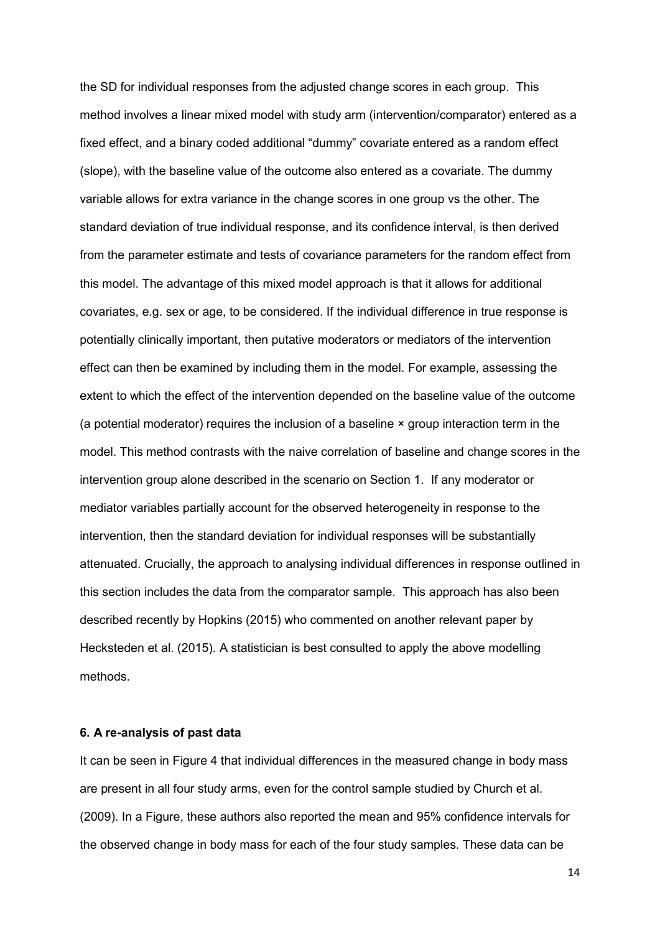the SD for individual responses from the adjusted change scores in each group. This method involves a linear mixed model with study arm (intervention/comparator) entered as a fixed effect, and a binary coded additional "dummy" covariate entered as a random effect (slope), with the baseline value of the outcome also entered as a covariate. The dummy variable allows for extra variance in the change scores in one group vs the other. The standard deviation of true individual response, and its confidence interval, is then derived from the parameter estimate and tests of covariance parameters for the random effect from this model. The advantage of this mixed model approach is that it allows for additional covariates, e.g. sex or age, to be considered. If the individual difference in true response is potentially clinically important, then putative moderators or mediators of the intervention effect can then be examined by including them in the model. For example, assessing the extent to which the effect of the intervention depended on the baseline value of the outcome (a potential moderator) requires the inclusion of a baseline × group interaction term in the model. This method contrasts with the naive correlation of baseline and change scores in the intervention group alone described in the scenario on Section 1. If any moderator or mediator variables partially account for the observed heterogeneity in response to the intervention, then the standard deviation for individual responses will be substantially attenuated. Crucially, the approach to analysing individual differences in response outlined in this section includes the data from the comparator sample. This approach has also been described recently by Hopkins (2015) who commented on another relevant paper by Hecksteden et al. (2015). A statistician is best consulted to apply the above modelling methods.

#### **6. A re-analysis of past data**

It can be seen in Figure 4 that individual differences in the measured change in body mass are present in all four study arms, even for the control sample studied by Church et al. (2009). In a Figure, these authors also reported the mean and 95% confidence intervals for the observed change in body mass for each of the four study samples. These data can be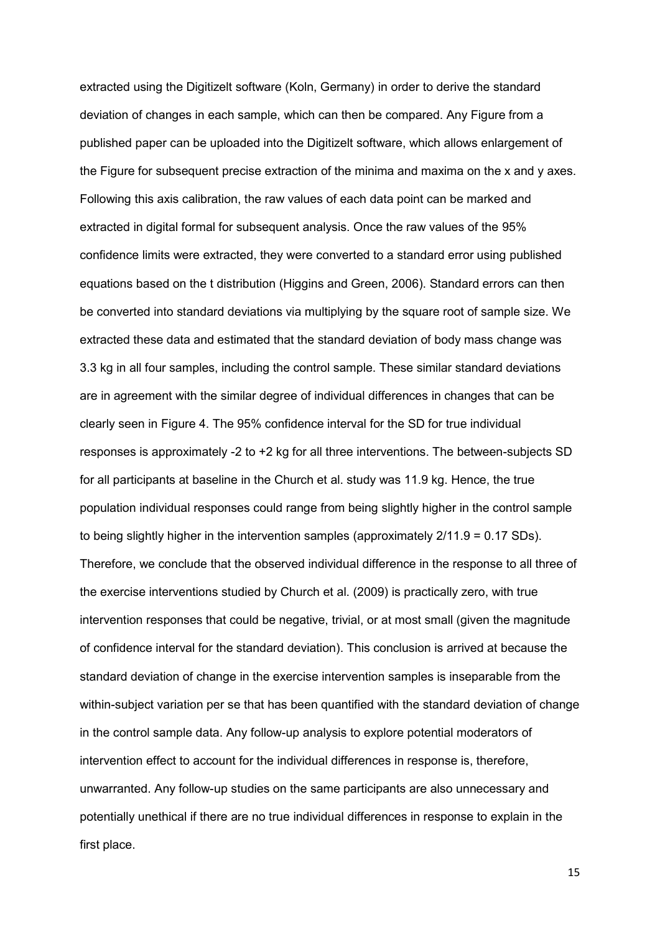extracted using the Digitizelt software (Koln, Germany) in order to derive the standard deviation of changes in each sample, which can then be compared. Any Figure from a published paper can be uploaded into the Digitizelt software, which allows enlargement of the Figure for subsequent precise extraction of the minima and maxima on the x and y axes. Following this axis calibration, the raw values of each data point can be marked and extracted in digital formal for subsequent analysis. Once the raw values of the 95% confidence limits were extracted, they were converted to a standard error using published equations based on the t distribution (Higgins and Green, 2006). Standard errors can then be converted into standard deviations via multiplying by the square root of sample size. We extracted these data and estimated that the standard deviation of body mass change was 3.3 kg in all four samples, including the control sample. These similar standard deviations are in agreement with the similar degree of individual differences in changes that can be clearly seen in Figure 4. The 95% confidence interval for the SD for true individual responses is approximately -2 to +2 kg for all three interventions. The between-subjects SD for all participants at baseline in the Church et al. study was 11.9 kg. Hence, the true population individual responses could range from being slightly higher in the control sample to being slightly higher in the intervention samples (approximately 2/11.9 = 0.17 SDs). Therefore, we conclude that the observed individual difference in the response to all three of the exercise interventions studied by Church et al. (2009) is practically zero, with true intervention responses that could be negative, trivial, or at most small (given the magnitude of confidence interval for the standard deviation). This conclusion is arrived at because the standard deviation of change in the exercise intervention samples is inseparable from the within-subject variation per se that has been quantified with the standard deviation of change in the control sample data. Any follow-up analysis to explore potential moderators of intervention effect to account for the individual differences in response is, therefore, unwarranted. Any follow-up studies on the same participants are also unnecessary and potentially unethical if there are no true individual differences in response to explain in the first place.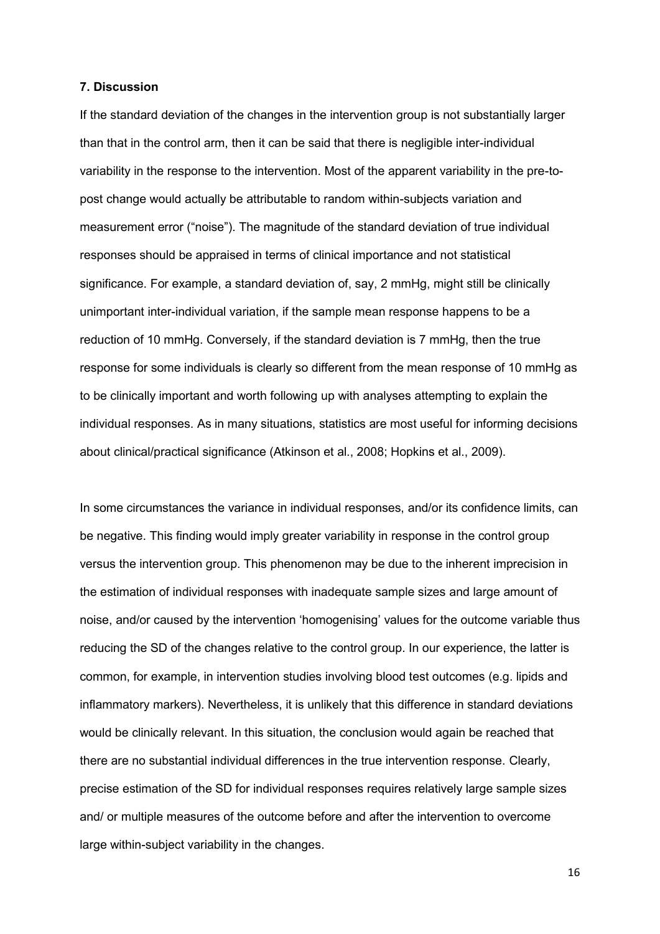## **7. Discussion**

If the standard deviation of the changes in the intervention group is not substantially larger than that in the control arm, then it can be said that there is negligible inter-individual variability in the response to the intervention. Most of the apparent variability in the pre-topost change would actually be attributable to random within-subjects variation and measurement error ("noise"). The magnitude of the standard deviation of true individual responses should be appraised in terms of clinical importance and not statistical significance. For example, a standard deviation of, say, 2 mmHg, might still be clinically unimportant inter-individual variation, if the sample mean response happens to be a reduction of 10 mmHg. Conversely, if the standard deviation is 7 mmHg, then the true response for some individuals is clearly so different from the mean response of 10 mmHg as to be clinically important and worth following up with analyses attempting to explain the individual responses. As in many situations, statistics are most useful for informing decisions about clinical/practical significance (Atkinson et al., 2008; Hopkins et al., 2009).

In some circumstances the variance in individual responses, and/or its confidence limits, can be negative. This finding would imply greater variability in response in the control group versus the intervention group. This phenomenon may be due to the inherent imprecision in the estimation of individual responses with inadequate sample sizes and large amount of noise, and/or caused by the intervention 'homogenising' values for the outcome variable thus reducing the SD of the changes relative to the control group. In our experience, the latter is common, for example, in intervention studies involving blood test outcomes (e.g. lipids and inflammatory markers). Nevertheless, it is unlikely that this difference in standard deviations would be clinically relevant. In this situation, the conclusion would again be reached that there are no substantial individual differences in the true intervention response. Clearly, precise estimation of the SD for individual responses requires relatively large sample sizes and/ or multiple measures of the outcome before and after the intervention to overcome large within-subject variability in the changes.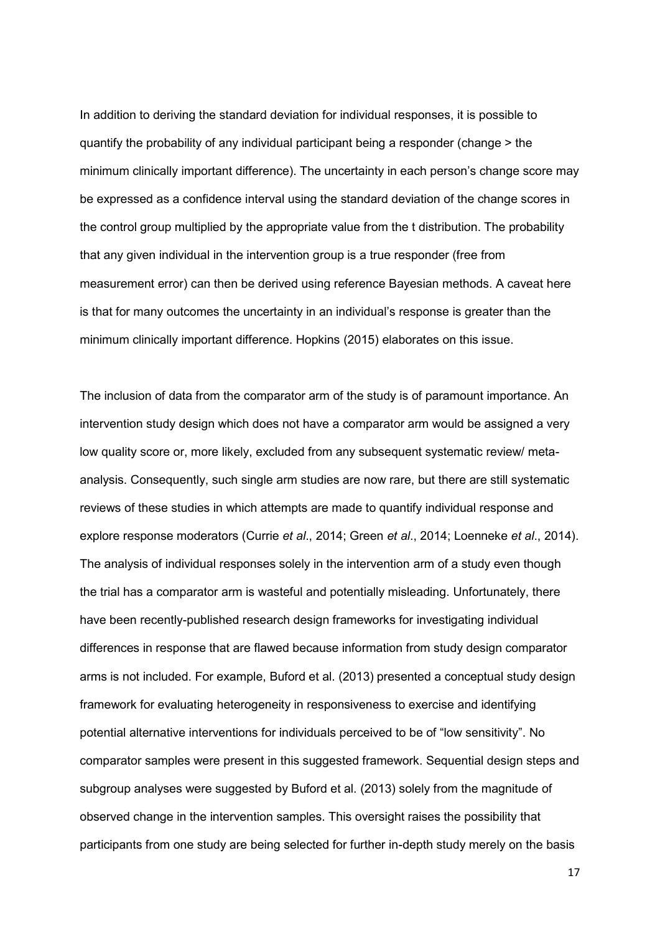In addition to deriving the standard deviation for individual responses, it is possible to quantify the probability of any individual participant being a responder (change > the minimum clinically important difference). The uncertainty in each person's change score may be expressed as a confidence interval using the standard deviation of the change scores in the control group multiplied by the appropriate value from the t distribution. The probability that any given individual in the intervention group is a true responder (free from measurement error) can then be derived using reference Bayesian methods. A caveat here is that for many outcomes the uncertainty in an individual's response is greater than the minimum clinically important difference. Hopkins (2015) elaborates on this issue.

The inclusion of data from the comparator arm of the study is of paramount importance. An intervention study design which does not have a comparator arm would be assigned a very low quality score or, more likely, excluded from any subsequent systematic review/ metaanalysis. Consequently, such single arm studies are now rare, but there are still systematic reviews of these studies in which attempts are made to quantify individual response and explore response moderators (Currie *et al*., 2014; Green *et al*., 2014; Loenneke *et al*., 2014). The analysis of individual responses solely in the intervention arm of a study even though the trial has a comparator arm is wasteful and potentially misleading. Unfortunately, there have been recently-published research design frameworks for investigating individual differences in response that are flawed because information from study design comparator arms is not included. For example, Buford et al. (2013) presented a conceptual study design framework for evaluating heterogeneity in responsiveness to exercise and identifying potential alternative interventions for individuals perceived to be of "low sensitivity". No comparator samples were present in this suggested framework. Sequential design steps and subgroup analyses were suggested by Buford et al. (2013) solely from the magnitude of observed change in the intervention samples. This oversight raises the possibility that participants from one study are being selected for further in-depth study merely on the basis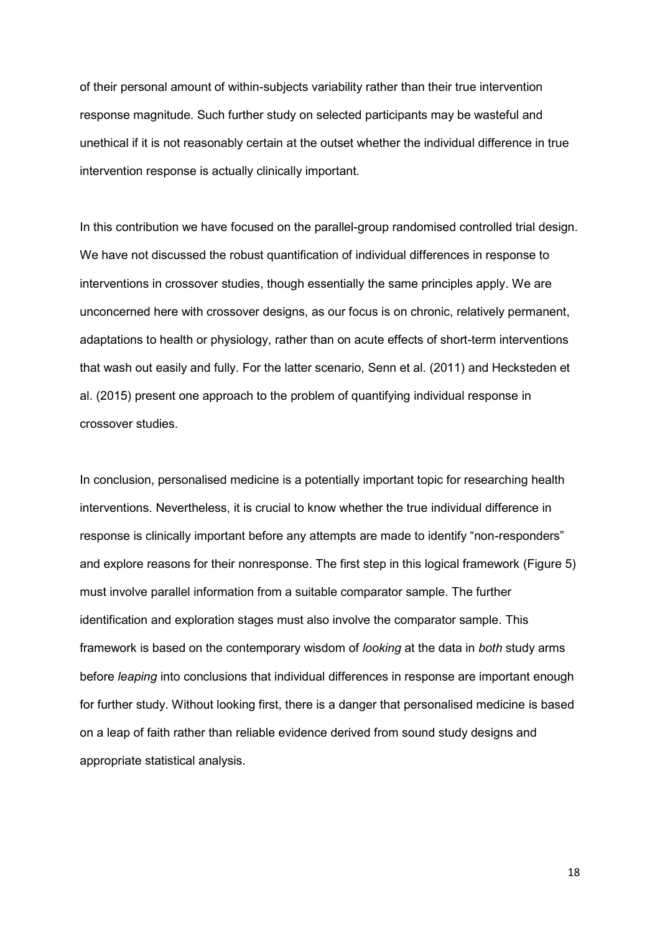of their personal amount of within-subjects variability rather than their true intervention response magnitude. Such further study on selected participants may be wasteful and unethical if it is not reasonably certain at the outset whether the individual difference in true intervention response is actually clinically important.

In this contribution we have focused on the parallel-group randomised controlled trial design. We have not discussed the robust quantification of individual differences in response to interventions in crossover studies, though essentially the same principles apply. We are unconcerned here with crossover designs, as our focus is on chronic, relatively permanent, adaptations to health or physiology, rather than on acute effects of short-term interventions that wash out easily and fully. For the latter scenario, Senn et al. (2011) and Hecksteden et al. (2015) present one approach to the problem of quantifying individual response in crossover studies.

In conclusion, personalised medicine is a potentially important topic for researching health interventions. Nevertheless, it is crucial to know whether the true individual difference in response is clinically important before any attempts are made to identify "non-responders" and explore reasons for their nonresponse. The first step in this logical framework (Figure 5) must involve parallel information from a suitable comparator sample. The further identification and exploration stages must also involve the comparator sample. This framework is based on the contemporary wisdom of *looking* at the data in *both* study arms before *leaping* into conclusions that individual differences in response are important enough for further study. Without looking first, there is a danger that personalised medicine is based on a leap of faith rather than reliable evidence derived from sound study designs and appropriate statistical analysis.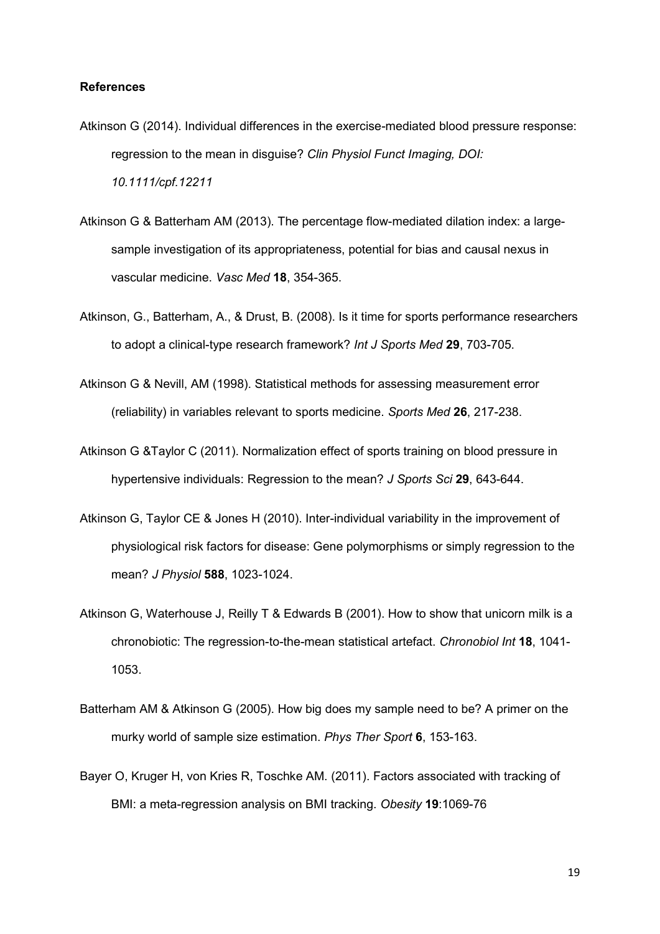#### **References**

- Atkinson G (2014). Individual differences in the exercise-mediated blood pressure response: regression to the mean in disguise? *Clin Physiol Funct Imaging, DOI: 10.1111/cpf.12211*
- Atkinson G & Batterham AM (2013). The percentage flow-mediated dilation index: a largesample investigation of its appropriateness, potential for bias and causal nexus in vascular medicine. *Vasc Med* **18**, 354-365.
- Atkinson, G., Batterham, A., & Drust, B. (2008). Is it time for sports performance researchers to adopt a clinical-type research framework? *Int J Sports Med* **29**, 703-705.
- Atkinson G & Nevill, AM (1998). Statistical methods for assessing measurement error (reliability) in variables relevant to sports medicine. *Sports Med* **26**, 217-238.
- Atkinson G &Taylor C (2011). Normalization effect of sports training on blood pressure in hypertensive individuals: Regression to the mean? *J Sports Sci* **29**, 643-644.
- Atkinson G, Taylor CE & Jones H (2010). Inter-individual variability in the improvement of physiological risk factors for disease: Gene polymorphisms or simply regression to the mean? *J Physiol* **588**, 1023-1024.
- Atkinson G, Waterhouse J, Reilly T & Edwards B (2001). How to show that unicorn milk is a chronobiotic: The regression-to-the-mean statistical artefact. *Chronobiol Int* **18**, 1041- 1053.
- Batterham AM & Atkinson G (2005). How big does my sample need to be? A primer on the murky world of sample size estimation. *Phys Ther Sport* **6**, 153-163.
- Bayer O, Kruger H, von Kries R, Toschke AM. (2011). Factors associated with tracking of BMI: a meta-regression analysis on BMI tracking. *Obesity* **19**:1069-76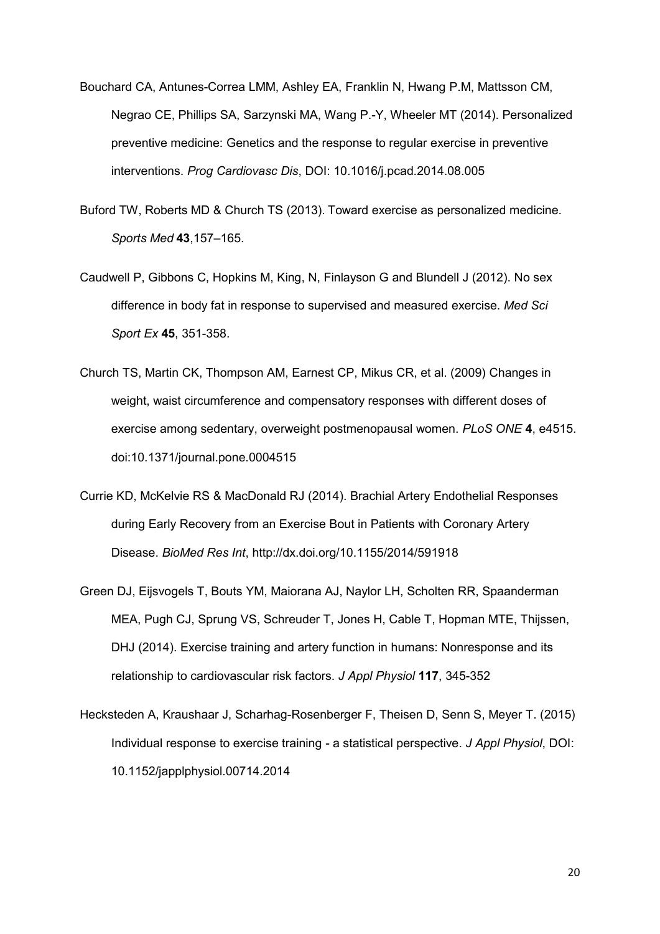- Bouchard CA, Antunes-Correa LMM, Ashley EA, Franklin N, Hwang P.M, Mattsson CM, Negrao CE, Phillips SA, Sarzynski MA, Wang P.-Y, Wheeler MT (2014). Personalized preventive medicine: Genetics and the response to regular exercise in preventive interventions. *Prog Cardiovasc Dis*, DOI: 10.1016/j.pcad.2014.08.005
- Buford TW, Roberts MD & Church TS (2013). Toward exercise as personalized medicine. *Sports Med* **43**,157–165.
- Caudwell P, Gibbons C, Hopkins M, King, N, Finlayson G and Blundell J (2012). No sex difference in body fat in response to supervised and measured exercise. *Med Sci Sport Ex* **45**, 351-358.
- Church TS, Martin CK, Thompson AM, Earnest CP, Mikus CR, et al. (2009) Changes in weight, waist circumference and compensatory responses with different doses of exercise among sedentary, overweight postmenopausal women. *PLoS ONE* **4**, e4515. doi:10.1371/journal.pone.0004515
- Currie KD, McKelvie RS & MacDonald RJ (2014). Brachial Artery Endothelial Responses during Early Recovery from an Exercise Bout in Patients with Coronary Artery Disease. *BioMed Res Int*, http://dx.doi.org/10.1155/2014/591918
- Green DJ, Eijsvogels T, Bouts YM, Maiorana AJ, Naylor LH, Scholten RR, Spaanderman MEA, Pugh CJ, Sprung VS, Schreuder T, Jones H, Cable T, Hopman MTE, Thijssen, DHJ (2014). Exercise training and artery function in humans: Nonresponse and its relationship to cardiovascular risk factors. *J Appl Physiol* **117**, 345-352
- Hecksteden A, Kraushaar J, Scharhag-Rosenberger F, Theisen D, Senn S, Meyer T. (2015) Individual response to exercise training - a statistical perspective. *J Appl Physiol*, DOI: 10.1152/japplphysiol.00714.2014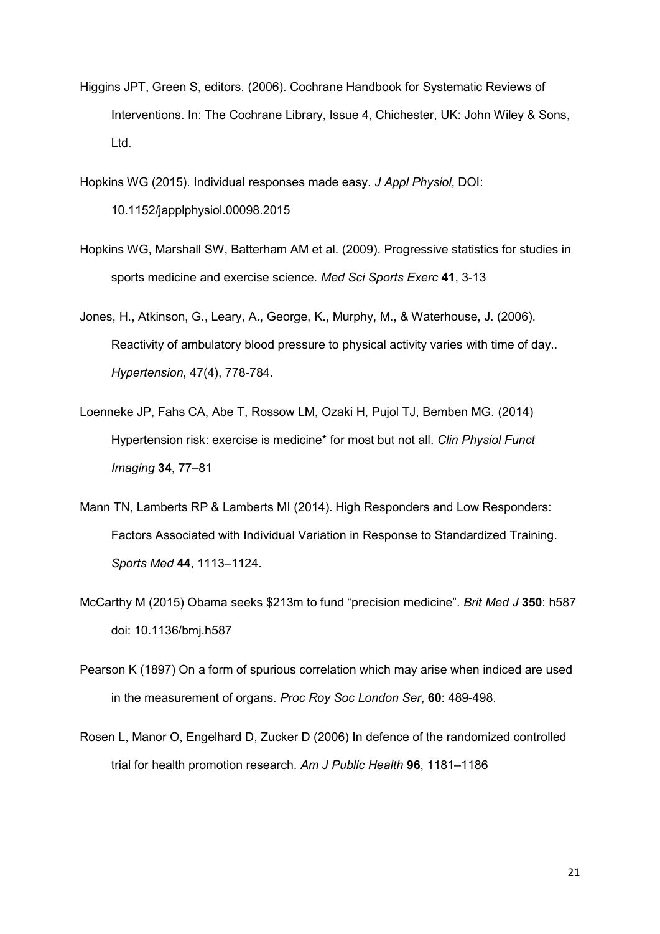- Higgins JPT, Green S, editors. (2006). Cochrane Handbook for Systematic Reviews of Interventions. In: The Cochrane Library, Issue 4, Chichester, UK: John Wiley & Sons, Ltd.
- Hopkins WG (2015). Individual responses made easy. *J Appl Physiol*, DOI: 10.1152/japplphysiol.00098.2015
- Hopkins WG, Marshall SW, Batterham AM et al. (2009). Progressive statistics for studies in sports medicine and exercise science. *Med Sci Sports Exerc* **41**, 3-13
- Jones, H., Atkinson, G., Leary, A., George, K., Murphy, M., & Waterhouse, J. (2006). Reactivity of ambulatory blood pressure to physical activity varies with time of day.. *Hypertension*, 47(4), 778-784.
- Loenneke JP, Fahs CA, Abe T, Rossow LM, Ozaki H, Pujol TJ, Bemben MG. (2014) Hypertension risk: exercise is medicine\* for most but not all. *Clin Physiol Funct Imaging* **34**, 77–81
- Mann TN, Lamberts RP & Lamberts MI (2014). High Responders and Low Responders: Factors Associated with Individual Variation in Response to Standardized Training. *Sports Med* **44**, 1113–1124.
- McCarthy M (2015) Obama seeks \$213m to fund "precision medicine". *Brit Med J* **350**: h587 doi: 10.1136/bmj.h587
- Pearson K (1897) On a form of spurious correlation which may arise when indiced are used in the measurement of organs. *Proc Roy Soc London Ser*, **60**: 489-498.
- Rosen L, Manor O, Engelhard D, Zucker D (2006) In defence of the randomized controlled trial for health promotion research. *Am J Public Health* **96**, 1181–1186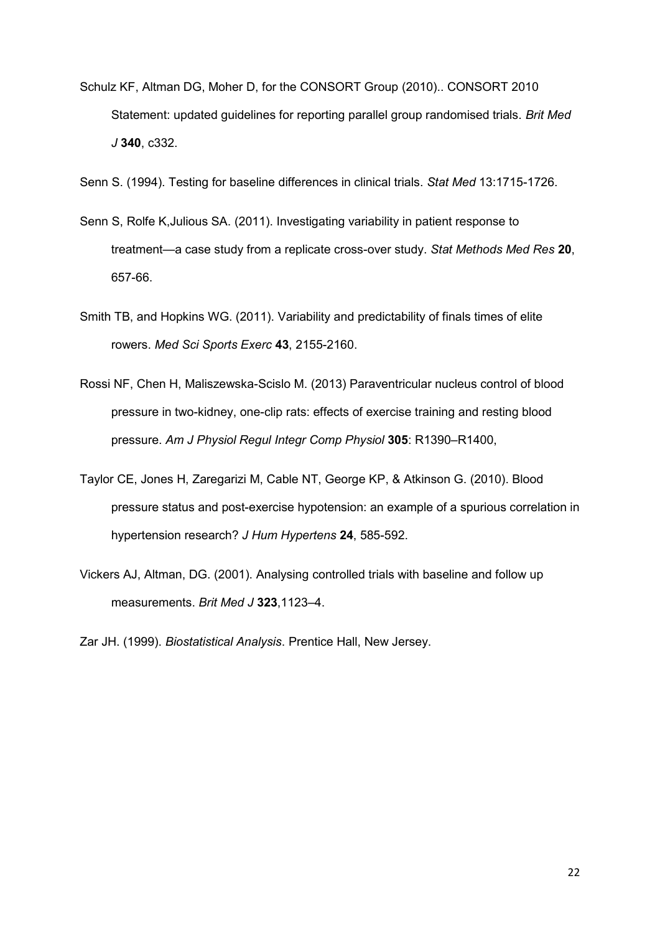- Schulz KF, Altman DG, Moher D, for the CONSORT Group (2010).. CONSORT 2010 Statement: updated guidelines for reporting parallel group randomised trials. *Brit Med J* **340**, c332.
- Senn S. (1994). Testing for baseline differences in clinical trials. *Stat Med* 13:1715-1726.
- Senn S, Rolfe K,Julious SA. (2011). Investigating variability in patient response to treatment—a case study from a replicate cross-over study. *Stat Methods Med Res* **20**, 657-66.
- Smith TB, and Hopkins WG. (2011). Variability and predictability of finals times of elite rowers. *Med Sci Sports Exerc* **43**, 2155-2160.
- Rossi NF, Chen H, Maliszewska-Scislo M. (2013) Paraventricular nucleus control of blood pressure in two-kidney, one-clip rats: effects of exercise training and resting blood pressure. *Am J Physiol Regul Integr Comp Physiol* **305**: R1390–R1400,
- Taylor CE, Jones H, Zaregarizi M, Cable NT, George KP, & Atkinson G. (2010). Blood pressure status and post-exercise hypotension: an example of a spurious correlation in hypertension research? *J Hum Hypertens* **24**, 585-592.
- Vickers AJ, Altman, DG. (2001). Analysing controlled trials with baseline and follow up measurements. *Brit Med J* **323**,1123–4.

Zar JH. (1999). *Biostatistical Analysis*. Prentice Hall, New Jersey.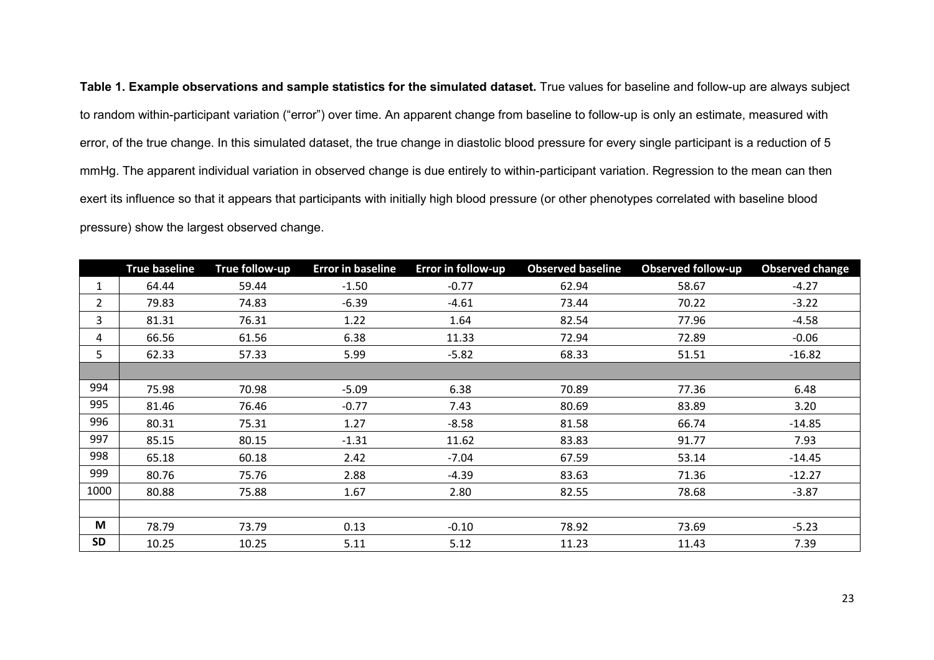**Table 1. Example observations and sample statistics for the simulated dataset.** True values for baseline and follow-up are always subject to random within-participant variation ("error") over time. An apparent change from baseline to follow-up is only an estimate, measured with error, of the true change. In this simulated dataset, the true change in diastolic blood pressure for every single participant is a reduction of 5 mmHg. The apparent individual variation in observed change is due entirely to within-participant variation. Regression to the mean can then exert its influence so that it appears that participants with initially high blood pressure (or other phenotypes correlated with baseline blood pressure) show the largest observed change.

|              | <b>True baseline</b> | True follow-up | <b>Error in baseline</b> | <b>Error in follow-up</b> | <b>Observed baseline</b> | <b>Observed follow-up</b> | <b>Observed change</b> |
|--------------|----------------------|----------------|--------------------------|---------------------------|--------------------------|---------------------------|------------------------|
| $\mathbf{1}$ | 64.44                | 59.44          | $-1.50$                  | $-0.77$                   | 62.94                    | 58.67                     | $-4.27$                |
| $\mathbf{2}$ | 79.83                | 74.83          | $-6.39$                  | $-4.61$                   | 73.44                    | 70.22                     | $-3.22$                |
| 3            | 81.31                | 76.31          | 1.22                     | 1.64                      | 82.54                    | 77.96                     | $-4.58$                |
| 4            | 66.56                | 61.56          | 6.38                     | 11.33                     | 72.94                    | 72.89                     | $-0.06$                |
| 5            | 62.33                | 57.33          | 5.99                     | $-5.82$                   | 68.33                    | 51.51                     | $-16.82$               |
|              |                      |                |                          |                           |                          |                           |                        |
| 994          | 75.98                | 70.98          | $-5.09$                  | 6.38                      | 70.89                    | 77.36                     | 6.48                   |
| 995          | 81.46                | 76.46          | $-0.77$                  | 7.43                      | 80.69                    | 83.89                     | 3.20                   |
| 996          | 80.31                | 75.31          | 1.27                     | $-8.58$                   | 81.58                    | 66.74                     | $-14.85$               |
| 997          | 85.15                | 80.15          | $-1.31$                  | 11.62                     | 83.83                    | 91.77                     | 7.93                   |
| 998          | 65.18                | 60.18          | 2.42                     | $-7.04$                   | 67.59                    | 53.14                     | $-14.45$               |
| 999          | 80.76                | 75.76          | 2.88                     | $-4.39$                   | 83.63                    | 71.36                     | $-12.27$               |
| 1000         | 80.88                | 75.88          | 1.67                     | 2.80                      | 82.55                    | 78.68                     | $-3.87$                |
|              |                      |                |                          |                           |                          |                           |                        |
| M            | 78.79                | 73.79          | 0.13                     | $-0.10$                   | 78.92                    | 73.69                     | $-5.23$                |
| <b>SD</b>    | 10.25                | 10.25          | 5.11                     | 5.12                      | 11.23                    | 11.43                     | 7.39                   |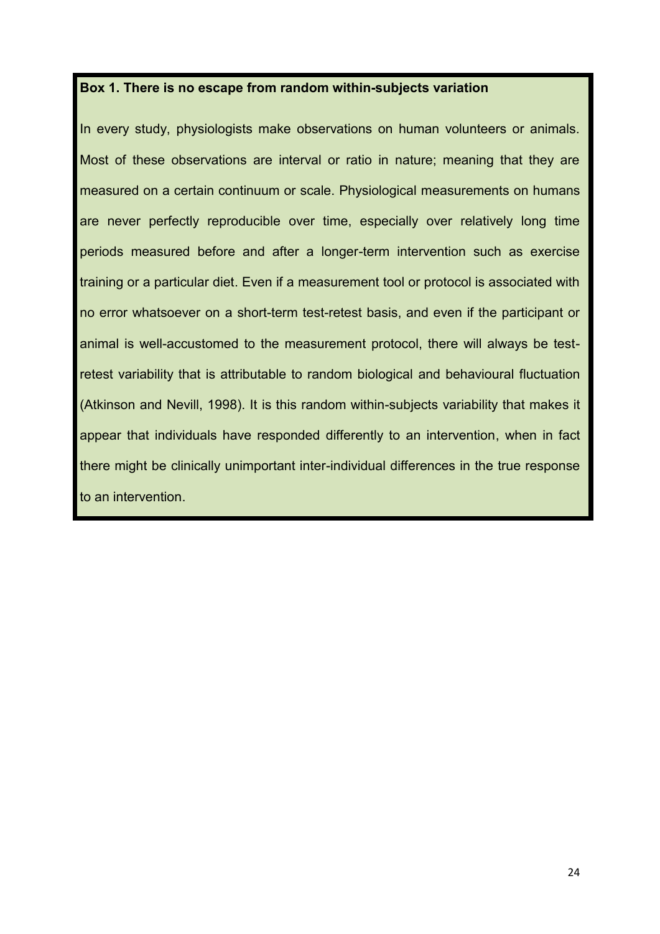# **Box 1. There is no escape from random within-subjects variation**

In every study, physiologists make observations on human volunteers or animals. Most of these observations are interval or ratio in nature; meaning that they are measured on a certain continuum or scale. Physiological measurements on humans are never perfectly reproducible over time, especially over relatively long time periods measured before and after a longer-term intervention such as exercise training or a particular diet. Even if a measurement tool or protocol is associated with no error whatsoever on a short-term test-retest basis, and even if the participant or animal is well-accustomed to the measurement protocol, there will always be testretest variability that is attributable to random biological and behavioural fluctuation (Atkinson and Nevill, 1998). It is this random within-subjects variability that makes it appear that individuals have responded differently to an intervention, when in fact there might be clinically unimportant inter-individual differences in the true response to an intervention.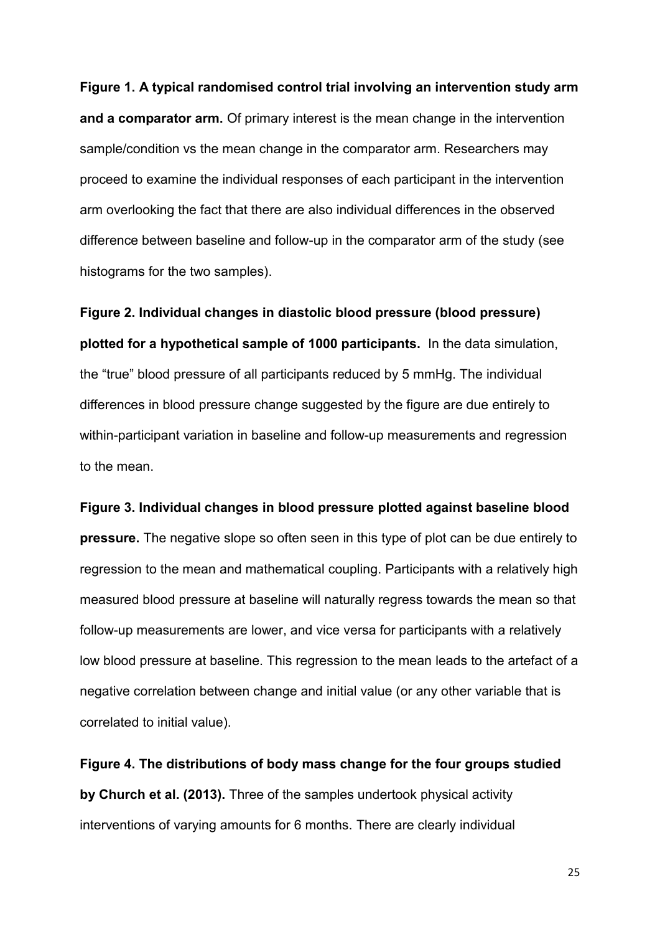**Figure 1. A typical randomised control trial involving an intervention study arm and a comparator arm.** Of primary interest is the mean change in the intervention sample/condition vs the mean change in the comparator arm. Researchers may proceed to examine the individual responses of each participant in the intervention arm overlooking the fact that there are also individual differences in the observed difference between baseline and follow-up in the comparator arm of the study (see histograms for the two samples).

**Figure 2. Individual changes in diastolic blood pressure (blood pressure) plotted for a hypothetical sample of 1000 participants.** In the data simulation, the "true" blood pressure of all participants reduced by 5 mmHg. The individual differences in blood pressure change suggested by the figure are due entirely to within-participant variation in baseline and follow-up measurements and regression to the mean.

**Figure 3. Individual changes in blood pressure plotted against baseline blood pressure.** The negative slope so often seen in this type of plot can be due entirely to regression to the mean and mathematical coupling. Participants with a relatively high measured blood pressure at baseline will naturally regress towards the mean so that follow-up measurements are lower, and vice versa for participants with a relatively low blood pressure at baseline. This regression to the mean leads to the artefact of a negative correlation between change and initial value (or any other variable that is correlated to initial value).

**Figure 4. The distributions of body mass change for the four groups studied by Church et al. (2013).** Three of the samples undertook physical activity interventions of varying amounts for 6 months. There are clearly individual